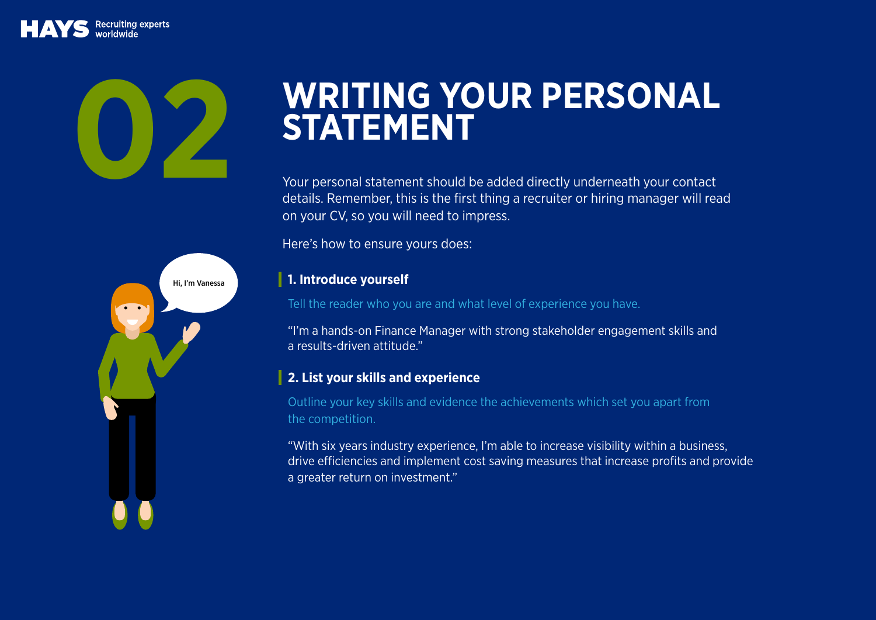# WRITING YOUR PERSONAL

Your personal statement should be added directly underneath your contact details. Remember, this is the first thing a recruiter or hiring manager will read on your CV, so you will need to impress.

Here's how to ensure yours does:

### **1. Introduce yourself**

Tell the reader who you are and what level of experience you have.

"I'm a hands-on Finance Manager with strong stakeholder engagement skills and a results-driven attitude."

## **2. List your skills and experience**

Outline your key skills and evidence the achievements which set you apart from the competition.

"With six years industry experience, I'm able to increase visibility within a business, drive efficiencies and implement cost saving measures that increase profits and provide a greater return on investment."